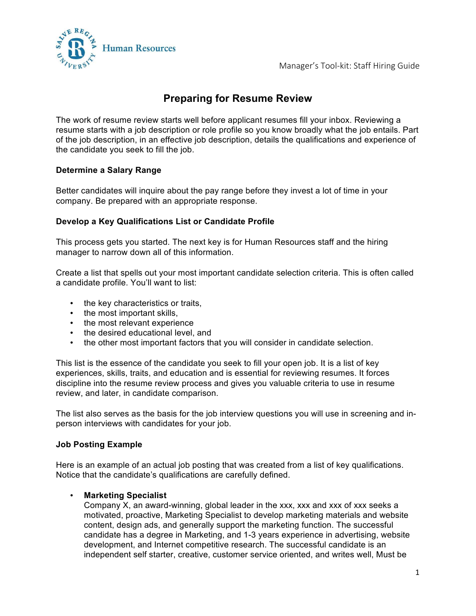Manager's Tool-kit: Staff Hiring Guide



# **Preparing for Resume Review**

The work of resume review starts well before applicant resumes fill your inbox. Reviewing a resume starts with a job description or role profile so you know broadly what the job entails. Part of the job description, in an effective job description, details the qualifications and experience of the candidate you seek to fill the job.

### **Determine a Salary Range**

Better candidates will inquire about the pay range before they invest a lot of time in your company. Be prepared with an appropriate response.

### **Develop a Key Qualifications List or Candidate Profile**

This process gets you started. The next key is for Human Resources staff and the hiring manager to narrow down all of this information.

Create a list that spells out your most important candidate selection criteria. This is often called a candidate profile. You'll want to list:

- the key characteristics or traits,
- the most important skills,
- the most relevant experience
- the desired educational level, and
- the other most important factors that you will consider in candidate selection.

This list is the essence of the candidate you seek to fill your open job. It is a list of key experiences, skills, traits, and education and is essential for reviewing resumes. It forces discipline into the resume review process and gives you valuable criteria to use in resume review, and later, in candidate comparison.

The list also serves as the basis for the job interview questions you will use in screening and inperson interviews with candidates for your job.

#### **Job Posting Example**

Here is an example of an actual job posting that was created from a list of key qualifications. Notice that the candidate's qualifications are carefully defined.

## • **Marketing Specialist**

Company X, an award-winning, global leader in the xxx, xxx and xxx of xxx seeks a motivated, proactive, Marketing Specialist to develop marketing materials and website content, design ads, and generally support the marketing function. The successful candidate has a degree in Marketing, and 1-3 years experience in advertising, website development, and Internet competitive research. The successful candidate is an independent self starter, creative, customer service oriented, and writes well, Must be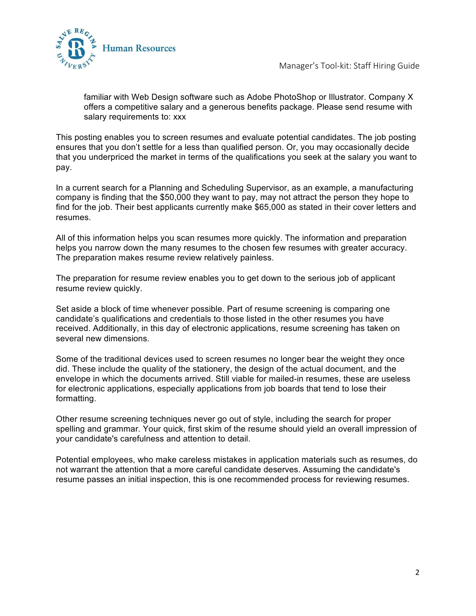

Manager's Tool-kit: Staff Hiring Guide

familiar with Web Design software such as Adobe PhotoShop or Illustrator. Company X offers a competitive salary and a generous benefits package. Please send resume with salary requirements to: xxx

This posting enables you to screen resumes and evaluate potential candidates. The job posting ensures that you don't settle for a less than qualified person. Or, you may occasionally decide that you underpriced the market in terms of the qualifications you seek at the salary you want to pay.

In a current search for a Planning and Scheduling Supervisor, as an example, a manufacturing company is finding that the \$50,000 they want to pay, may not attract the person they hope to find for the job. Their best applicants currently make \$65,000 as stated in their cover letters and resumes.

All of this information helps you scan resumes more quickly. The information and preparation helps you narrow down the many resumes to the chosen few resumes with greater accuracy. The preparation makes resume review relatively painless.

The preparation for resume review enables you to get down to the serious job of applicant resume review quickly.

Set aside a block of time whenever possible. Part of resume screening is comparing one candidate's qualifications and credentials to those listed in the other resumes you have received. Additionally, in this day of electronic applications, resume screening has taken on several new dimensions.

Some of the traditional devices used to screen resumes no longer bear the weight they once did. These include the quality of the stationery, the design of the actual document, and the envelope in which the documents arrived. Still viable for mailed-in resumes, these are useless for electronic applications, especially applications from job boards that tend to lose their formatting.

Other resume screening techniques never go out of style, including the search for proper spelling and grammar. Your quick, first skim of the resume should yield an overall impression of your candidate's carefulness and attention to detail.

Potential employees, who make careless mistakes in application materials such as resumes, do not warrant the attention that a more careful candidate deserves. Assuming the candidate's resume passes an initial inspection, this is one recommended process for reviewing resumes.